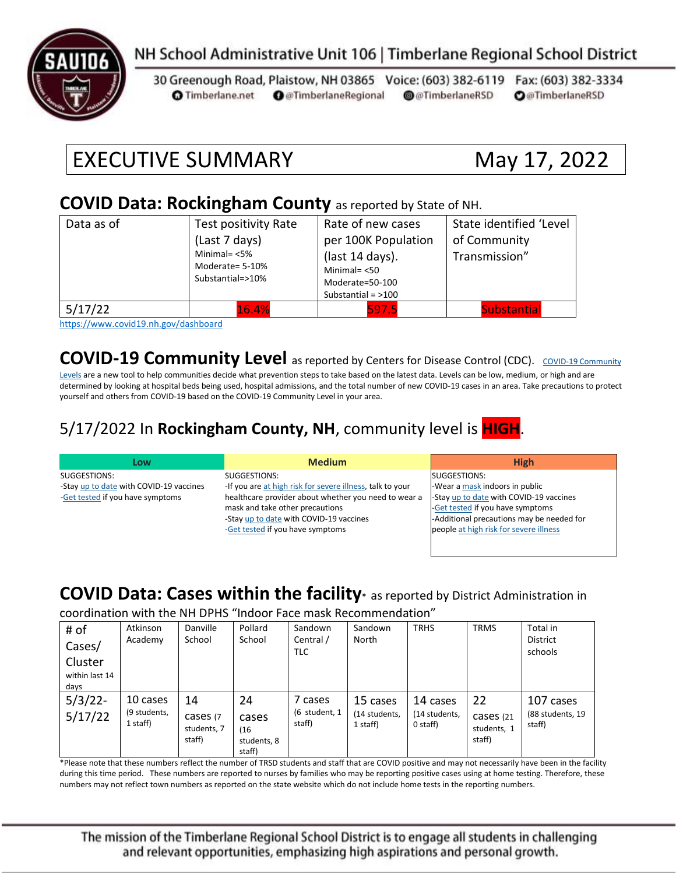

### NH School Administrative Unit 106 | Timberlane Regional School District

30 Greenough Road, Plaistow, NH 03865 Voice: (603) 382-6119 Fax: (603) 382-3334 **O** @TimberlaneRegional @@TimberlaneRSD **O**@TimberlaneRSD **O** Timberlane.net

# EXECUTIVE SUMMARY May 17, 2022

#### **COVID Data: Rockingham County** as reported by State of NH.

| Data as of | Test positivity Rate                                   | Rate of new cases    | State identified 'Level<br>of Community<br>Transmission" |  |
|------------|--------------------------------------------------------|----------------------|----------------------------------------------------------|--|
|            | (Last 7 days)                                          | per 100K Population  |                                                          |  |
|            | Minimal= $<$ 5%<br>Moderate= 5-10%<br>Substantial=>10% | (last 14 days).      |                                                          |  |
|            |                                                        | Minimal $=$ <50      |                                                          |  |
|            |                                                        | Moderate=50-100      |                                                          |  |
|            |                                                        | Substantial = $>100$ |                                                          |  |
| 5/17/22    | 16.4%                                                  | 597.5                | <b>Substantial</b>                                       |  |

<https://www.covid19.nh.gov/dashboard>

**[COVID-19 Community](https://www.cdc.gov/coronavirus/2019-ncov/science/community-levels.html) Level** as reported by Centers for Disease Control (CDC). COVID-19 Community

[Levels](https://www.cdc.gov/coronavirus/2019-ncov/science/community-levels.html) are a new tool to help communities decide what prevention steps to take based on the latest data. Levels can be low, medium, or high and are determined by looking at hospital beds being used, hospital admissions, and the total number of new COVID-19 cases in an area. Take precautions to protect yourself and others from COVID-19 based on the COVID-19 Community Level in your area.

#### 5/17/2022 In **Rockingham County, NH**, community level is **HIGH**.

| Low                                     | <b>Medium</b>                                             | <b>High</b>                               |
|-----------------------------------------|-----------------------------------------------------------|-------------------------------------------|
| SUGGESTIONS:                            | SUGGESTIONS:                                              | SUGGESTIONS:                              |
| -Stay up to date with COVID-19 vaccines | -If you are at high risk for severe illness, talk to your | -Wear a mask indoors in public            |
| -Get tested if you have symptoms        | healthcare provider about whether you need to wear a      | -Stay up to date with COVID-19 vaccines   |
|                                         | mask and take other precautions                           | -Get tested if you have symptoms          |
|                                         | -Stay up to date with COVID-19 vaccines                   | -Additional precautions may be needed for |
|                                         | -Get tested if you have symptoms                          | people at high risk for severe illness    |
|                                         |                                                           |                                           |

#### **COVID Data: Cases within the facility\*** as reported by District Administration in

coordination with the NH DPHS "Indoor Face mask Recommendation"

| # of<br>Cases/<br>Cluster<br>within last 14<br>days | Atkinson<br>Academy                  | Danville<br>School                       | Pollard<br>School                            | Sandown<br>Central /<br><b>TLC</b> | Sandown<br>North                      | <b>TRHS</b>                           | <b>TRMS</b>                              | Total in<br><b>District</b><br>schools  |
|-----------------------------------------------------|--------------------------------------|------------------------------------------|----------------------------------------------|------------------------------------|---------------------------------------|---------------------------------------|------------------------------------------|-----------------------------------------|
| $5/3/22$ -<br>5/17/22                               | 10 cases<br>(9 students,<br>1 staff) | 14<br>cases (7)<br>students, 7<br>staff) | 24<br>cases<br>(16)<br>students, 8<br>staff) | 7 cases<br>(6 student, 1<br>staff) | 15 cases<br>(14 students,<br>1 staff) | 14 cases<br>(14 students,<br>0 staff) | 22<br>Cases (21<br>students, 1<br>staff) | 107 cases<br>(88 students, 19<br>staff) |

\*Please note that these numbers reflect the number of TRSD students and staff that are COVID positive and may not necessarily have been in the facility during this time period. These numbers are reported to nurses by families who may be reporting positive cases using at home testing. Therefore, these numbers may not reflect town numbers as reported on the state website which do not include home tests in the reporting numbers.

The mission of the Timberlane Regional School District is to engage all students in challenging and relevant opportunities, emphasizing high aspirations and personal growth.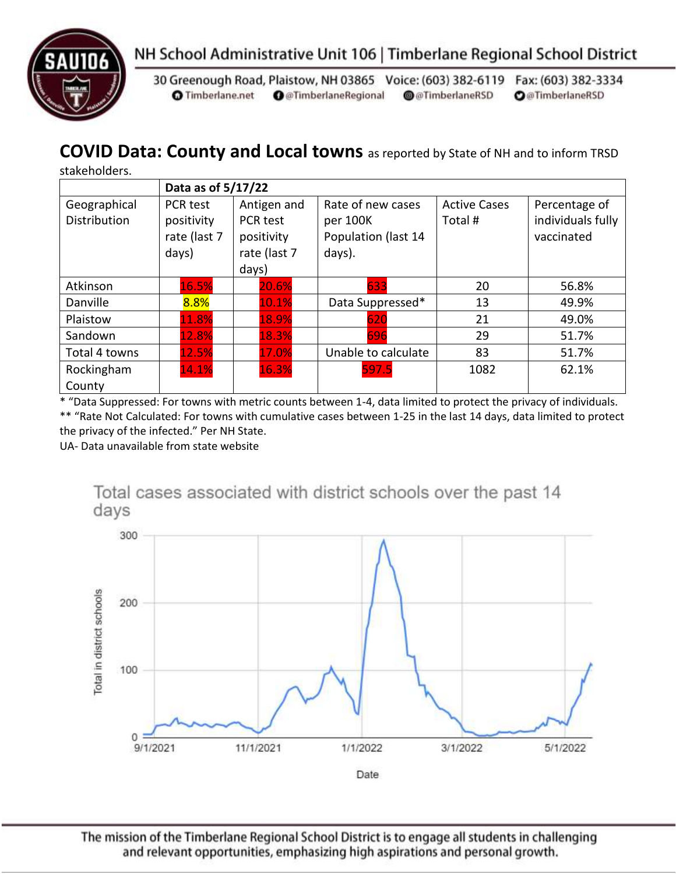



30 Greenough Road, Plaistow, NH 03865 Voice: (603) 382-6119 Fax: (603) 382-3334 **O** Timberlane.net **O** @TimberlaneRegional @@TimberlaneRSD **O**@TimberlaneRSD

### **COVID Data: County and Local towns** as reported by State of NH and to inform TRSD

stakeholders.

|                                     | Data as of 5/17/22                                     |                                                                |                                                                |                                |                                                  |  |  |
|-------------------------------------|--------------------------------------------------------|----------------------------------------------------------------|----------------------------------------------------------------|--------------------------------|--------------------------------------------------|--|--|
| Geographical<br><b>Distribution</b> | <b>PCR test</b><br>positivity<br>rate (last 7<br>days) | Antigen and<br>PCR test<br>positivity<br>rate (last 7<br>days) | Rate of new cases<br>per 100K<br>Population (last 14<br>days). | <b>Active Cases</b><br>Total # | Percentage of<br>individuals fully<br>vaccinated |  |  |
| Atkinson                            | 16.5%                                                  | 20.6%                                                          | 633                                                            | 20                             | 56.8%                                            |  |  |
| Danville                            | 8.8%                                                   | 10.1%                                                          | Data Suppressed*                                               | 13                             | 49.9%                                            |  |  |
| Plaistow                            | 11.8%                                                  | 18.9%                                                          | 620                                                            | 21                             | 49.0%                                            |  |  |
| Sandown                             | 12.8%                                                  | 18.3%                                                          | 696                                                            | 29                             | 51.7%                                            |  |  |
| Total 4 towns                       | 12.5%                                                  | 17.0%                                                          | Unable to calculate                                            | 83                             | 51.7%                                            |  |  |
| Rockingham<br>County                | 14.1%                                                  | 16.3%                                                          | 597.5                                                          | 1082                           | 62.1%                                            |  |  |

\* "Data Suppressed: For towns with metric counts between 1-4, data limited to protect the privacy of individuals.

\*\* "Rate Not Calculated: For towns with cumulative cases between 1-25 in the last 14 days, data limited to protect the privacy of the infected." Per NH State.

UA- Data unavailable from state website



The mission of the Timberlane Regional School District is to engage all students in challenging and relevant opportunities, emphasizing high aspirations and personal growth.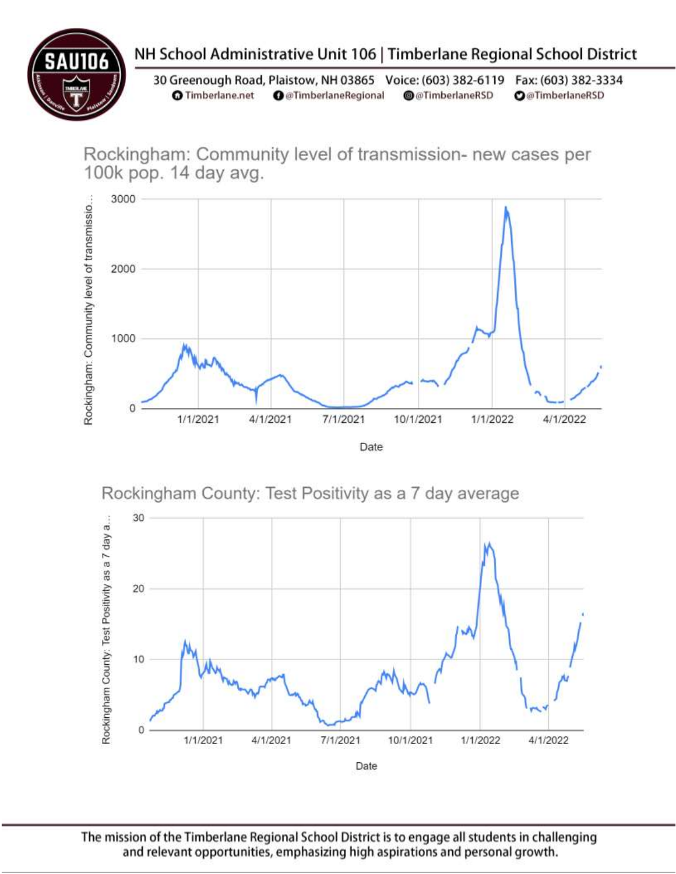

## NH School Administrative Unit 106 | Timberlane Regional School District

30 Greenough Road, Plaistow, NH 03865 Voice: (603) 382-6119 Fax: (603) 382-3334 **O** Timberlane.net **O** @TimberlaneRegional @@TimberlaneRSD **O**@TimberlaneRSD

Rockingham: Community level of transmission- new cases per 100k pop. 14 day avg.



Rockingham County: Test Positivity as a 7 day average